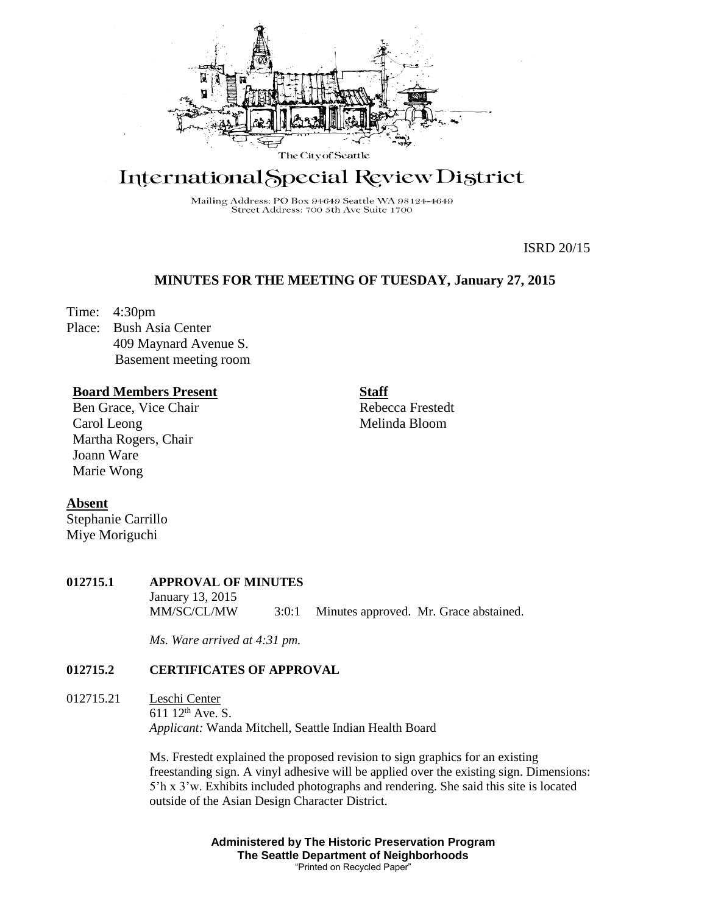

# International Special Review District

Mailing Address: PO Box 94649 Seattle WA 98124-4649 Street Address: 700 5th Ave Suite 1700

ISRD 20/15

## **MINUTES FOR THE MEETING OF TUESDAY, January 27, 2015**

Time: 4:30pm

Place: Bush Asia Center 409 Maynard Avenue S. Basement meeting room

## **Board Members Present**

Ben Grace, Vice Chair Carol Leong Martha Rogers, Chair Joann Ware Marie Wong

Rebecca Frestedt Melinda Bloom

**Staff**

#### **Absent**

Stephanie Carrillo Miye Moriguchi

#### **012715.1 APPROVAL OF MINUTES** January 13, 2015 MM/SC/CL/MW 3:0:1 Minutes approved. Mr. Grace abstained.

*Ms. Ware arrived at 4:31 pm.*

# **012715.2 CERTIFICATES OF APPROVAL**

012715.21 Leschi Center 611 12th Ave. S. *Applicant:* Wanda Mitchell, Seattle Indian Health Board

> Ms. Frestedt explained the proposed revision to sign graphics for an existing freestanding sign. A vinyl adhesive will be applied over the existing sign. Dimensions: 5'h x 3'w. Exhibits included photographs and rendering. She said this site is located outside of the Asian Design Character District.

> > **Administered by The Historic Preservation Program The Seattle Department of Neighborhoods** "Printed on Recycled Paper"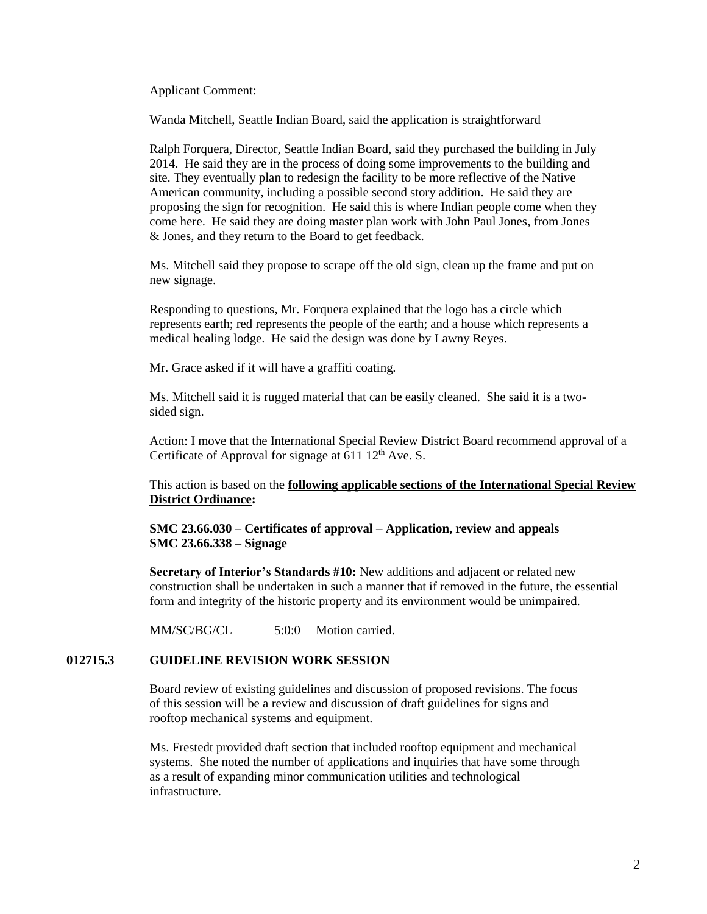Applicant Comment:

Wanda Mitchell, Seattle Indian Board, said the application is straightforward

Ralph Forquera, Director, Seattle Indian Board, said they purchased the building in July 2014. He said they are in the process of doing some improvements to the building and site. They eventually plan to redesign the facility to be more reflective of the Native American community, including a possible second story addition. He said they are proposing the sign for recognition. He said this is where Indian people come when they come here. He said they are doing master plan work with John Paul Jones, from Jones & Jones, and they return to the Board to get feedback.

Ms. Mitchell said they propose to scrape off the old sign, clean up the frame and put on new signage.

Responding to questions, Mr. Forquera explained that the logo has a circle which represents earth; red represents the people of the earth; and a house which represents a medical healing lodge. He said the design was done by Lawny Reyes.

Mr. Grace asked if it will have a graffiti coating.

Ms. Mitchell said it is rugged material that can be easily cleaned. She said it is a twosided sign.

Action: I move that the International Special Review District Board recommend approval of a Certificate of Approval for signage at  $611\ 12<sup>th</sup>$  Ave. S.

This action is based on the **following applicable sections of the International Special Review District Ordinance:** 

**SMC 23.66.030 – Certificates of approval – Application, review and appeals SMC 23.66.338 – Signage**

**Secretary of Interior's Standards #10:** New additions and adjacent or related new construction shall be undertaken in such a manner that if removed in the future, the essential form and integrity of the historic property and its environment would be unimpaired.

MM/SC/BG/CL 5:0:0 Motion carried.

## **012715.3 GUIDELINE REVISION WORK SESSION**

Board review of existing guidelines and discussion of proposed revisions. The focus of this session will be a review and discussion of draft guidelines for signs and rooftop mechanical systems and equipment.

Ms. Frestedt provided draft section that included rooftop equipment and mechanical systems. She noted the number of applications and inquiries that have some through as a result of expanding minor communication utilities and technological infrastructure.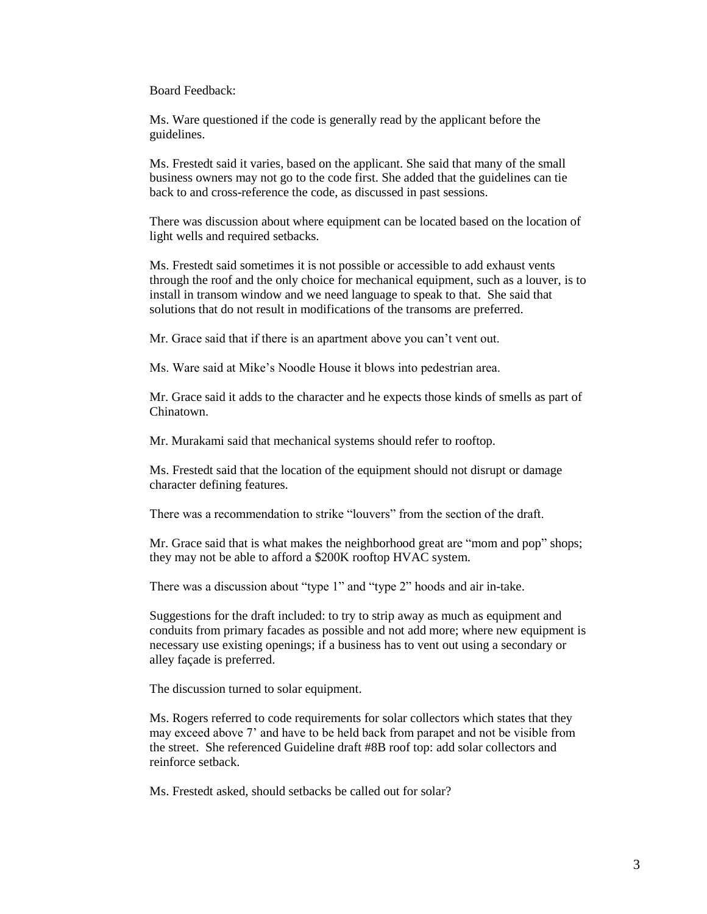Board Feedback:

Ms. Ware questioned if the code is generally read by the applicant before the guidelines.

Ms. Frestedt said it varies, based on the applicant. She said that many of the small business owners may not go to the code first. She added that the guidelines can tie back to and cross-reference the code, as discussed in past sessions.

There was discussion about where equipment can be located based on the location of light wells and required setbacks.

Ms. Frestedt said sometimes it is not possible or accessible to add exhaust vents through the roof and the only choice for mechanical equipment, such as a louver, is to install in transom window and we need language to speak to that. She said that solutions that do not result in modifications of the transoms are preferred.

Mr. Grace said that if there is an apartment above you can't vent out.

Ms. Ware said at Mike's Noodle House it blows into pedestrian area.

Mr. Grace said it adds to the character and he expects those kinds of smells as part of Chinatown.

Mr. Murakami said that mechanical systems should refer to rooftop.

Ms. Frestedt said that the location of the equipment should not disrupt or damage character defining features.

There was a recommendation to strike "louvers" from the section of the draft.

Mr. Grace said that is what makes the neighborhood great are "mom and pop" shops; they may not be able to afford a \$200K rooftop HVAC system.

There was a discussion about "type 1" and "type 2" hoods and air in-take.

Suggestions for the draft included: to try to strip away as much as equipment and conduits from primary facades as possible and not add more; where new equipment is necessary use existing openings; if a business has to vent out using a secondary or alley façade is preferred.

The discussion turned to solar equipment.

Ms. Rogers referred to code requirements for solar collectors which states that they may exceed above 7' and have to be held back from parapet and not be visible from the street. She referenced Guideline draft #8B roof top: add solar collectors and reinforce setback.

Ms. Frestedt asked, should setbacks be called out for solar?